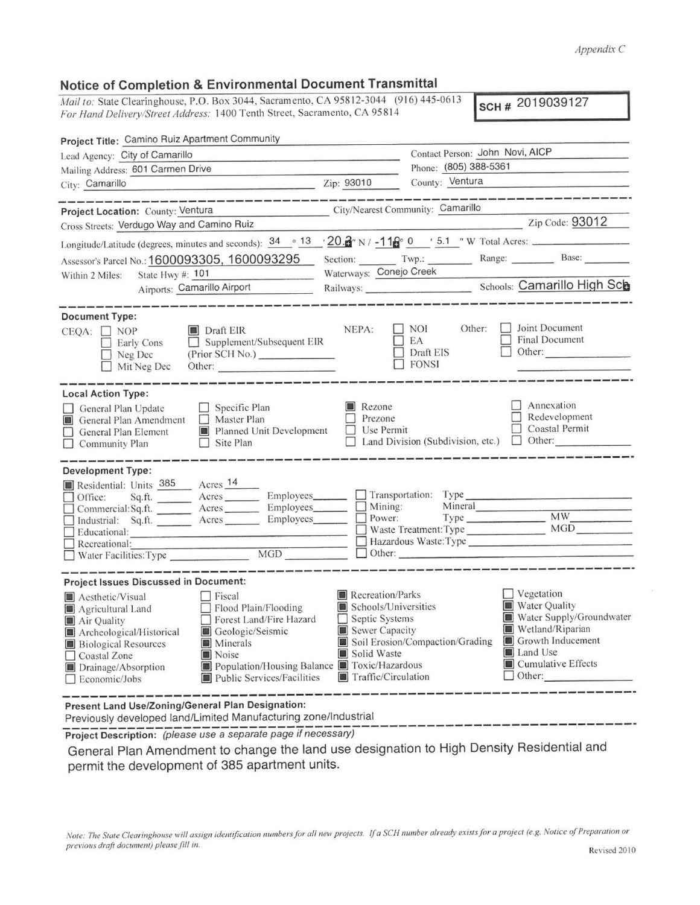*Note: The State Clearinghouse will assign identification numbers for all new projects. If a SCH number already exists for a project (e.g. Notice of Preparation or previous draft document) please fill in.* Revised 2010

## **Notice of Completion & Environmental Document Transmittal**

*Mail to: State Clearinghouse, P.O. Box 3044, Sacramento, CA 95812-3044* (916) 445-0613 *For Hand Delivery/Street Address:* 1400 Tenth Street, Sacramento, CA 95814

| Project Title: Camino Ruiz Apartment Community                                                                                                                                                                                                                                                                                                                             |                                                                                                                                   |                                                                                                                                                                                        |  |
|----------------------------------------------------------------------------------------------------------------------------------------------------------------------------------------------------------------------------------------------------------------------------------------------------------------------------------------------------------------------------|-----------------------------------------------------------------------------------------------------------------------------------|----------------------------------------------------------------------------------------------------------------------------------------------------------------------------------------|--|
| Lead Agency: City of Camarillo                                                                                                                                                                                                                                                                                                                                             |                                                                                                                                   | Contact Person: John Novi, AICP                                                                                                                                                        |  |
| Mailing Address: 601 Carmen Drive                                                                                                                                                                                                                                                                                                                                          |                                                                                                                                   | Phone: (805) 388-5361                                                                                                                                                                  |  |
| Zip: 93010<br>City: Camarillo                                                                                                                                                                                                                                                                                                                                              |                                                                                                                                   | County: Ventura                                                                                                                                                                        |  |
|                                                                                                                                                                                                                                                                                                                                                                            |                                                                                                                                   |                                                                                                                                                                                        |  |
| City/Nearest Community: Camarillo<br>Project Location: County: Ventura                                                                                                                                                                                                                                                                                                     |                                                                                                                                   |                                                                                                                                                                                        |  |
| Cross Streets: Verdugo Way and Camino Ruiz                                                                                                                                                                                                                                                                                                                                 |                                                                                                                                   | $Zip$ Code: $93012$                                                                                                                                                                    |  |
| Longitude/Latitude (degrees, minutes and seconds): $34 \cdot 13 \cdot 20.8$ N / -118 0 $\cdot$ 5.1 " W Total Acres:                                                                                                                                                                                                                                                        |                                                                                                                                   |                                                                                                                                                                                        |  |
| Assessor's Parcel No.: 1600093305, 1600093295                                                                                                                                                                                                                                                                                                                              |                                                                                                                                   | Section: Twp.: Range: Base: Base:                                                                                                                                                      |  |
| State Hwy #: 101<br>Within 2 Miles:                                                                                                                                                                                                                                                                                                                                        | Waterways: Conejo Creek                                                                                                           |                                                                                                                                                                                        |  |
| Airports: Camarillo Airport                                                                                                                                                                                                                                                                                                                                                |                                                                                                                                   | Railways: Camarillo High Schools: Camarillo High Sch                                                                                                                                   |  |
|                                                                                                                                                                                                                                                                                                                                                                            |                                                                                                                                   |                                                                                                                                                                                        |  |
| <b>Document Type:</b>                                                                                                                                                                                                                                                                                                                                                      |                                                                                                                                   |                                                                                                                                                                                        |  |
| Draft EIR<br>$CEQA: \Box NOP$<br>Supplement/Subsequent EIR<br>Early Cons<br>(Prior SCH No.)<br>$\Box$ Neg Dec<br>Other:<br>$\Box$ Mit Neg Dec                                                                                                                                                                                                                              | NEPA:                                                                                                                             | $\Box$ Joint Document<br>Other:<br>$\Box$ NOI<br>$\Box$ Final Document<br>$\Box$ EA<br>Other:<br>$\Box$ Draft EIS<br>$\Box$ FONSI                                                      |  |
| <b>Local Action Type:</b>                                                                                                                                                                                                                                                                                                                                                  |                                                                                                                                   |                                                                                                                                                                                        |  |
| $\Box$ Specific Plan<br>General Plan Update<br>$\Box$ Master Plan<br>General Plan Amendment<br>Planned Unit Development<br>$\Box$ General Plan Element<br>$\Box$ Site Plan<br>$\Box$ Community Plan                                                                                                                                                                        | $\blacksquare$ Rezone<br>Prezone<br>Use Permit                                                                                    | Annexation<br>Redevelopment<br>Coastal Permit<br>Land Division (Subdivision, etc.) Other:                                                                                              |  |
| <b>Development Type:</b><br>Residential: Units 385 Acres 14<br>Office: Sq.ft. Acres Employees D Transportation: Type<br>Commercial: Sq.ft. Acres Employees Mining: Mineral Mineral Museum MV                                                                                                                                                                               |                                                                                                                                   | Waste Treatment: Type MGD                                                                                                                                                              |  |
| <b>Project Issues Discussed in Document:</b>                                                                                                                                                                                                                                                                                                                               |                                                                                                                                   |                                                                                                                                                                                        |  |
| Fiscal<br>Aesthetic/Visual<br>Flood Plain/Flooding<br>Agricultural Land<br>Forest Land/Fire Hazard<br>Air Quality<br>Geologic/Seismic<br><b>A</b> rcheological/Historical<br><b>Minerals</b><br><b>Biological Resources</b><br>Noise<br>□ Coastal Zone<br>Population/Housing Balance Toxic/Hazardous<br>Drainage/Absorption<br>Public Services/Facilities<br>Economic/Jobs | Recreation/Parks<br>Schools/Universities<br>Septic Systems<br>Sewer Capacity<br>Solid Waste<br>$\blacksquare$ Traffic/Circulation | Vegetation<br>Water Quality<br>Water Supply/Groundwater<br>Wetland/Riparian<br>Growth Inducement<br>Soil Erosion/Compaction/Grading<br>Land Use<br>Cumulative Effects<br>$\Box$ Other: |  |

Present Land Use/Zoning/General Plan Designation:

Previously developed land/Limited Manufacturing zone/Industrial

------------------------------------------------------------- **Project Description:** (please use a separate page if necessary) -

General Plan Amendment to change the land use designation to High Density Residential and permit the development of 385 apartment units.

**SCH#** 2019039127